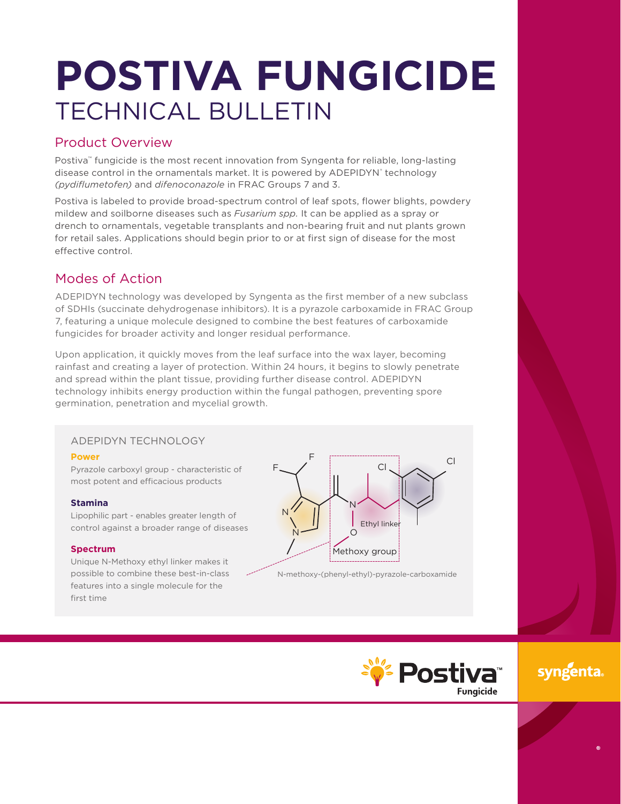# **POSTIVA FUNGICIDE** TECHNICAL BULLETIN

## Product Overview

Postiva™ fungicide is the most recent innovation from Syngenta for reliable, long-lasting disease control in the ornamentals market. It is powered by ADEPIDYN' technology *(pydiflumetofen)* and *difenoconazole* in FRAC Groups 7 and 3.

Postiva is labeled to provide broad-spectrum control of leaf spots, flower blights, powdery mildew and soilborne diseases such as *Fusarium spp.* It can be applied as a spray or drench to ornamentals, vegetable transplants and non-bearing fruit and nut plants grown for retail sales. Applications should begin prior to or at first sign of disease for the most effective control.

# Modes of Action

ADEPIDYN technology was developed by Syngenta as the first member of a new subclass of SDHIs (succinate dehydrogenase inhibitors). It is a pyrazole carboxamide in FRAC Group 7, featuring a unique molecule designed to combine the best features of carboxamide fungicides for broader activity and longer residual performance.

Upon application, it quickly moves from the leaf surface into the wax layer, becoming rainfast and creating a layer of protection. Within 24 hours, it begins to slowly penetrate and spread within the plant tissue, providing further disease control. ADEPIDYN technology inhibits energy production within the fungal pathogen, preventing spore germination, penetration and mycelial growth.

## ADEPIDYN TECHNOLOGY

#### **Power**

Pyrazole carboxyl group - characteristic of most potent and efficacious products

#### **Stamina**

Lipophilic part - enables greater length of control against a broader range of diseases

#### **Spectrum**

Unique N-Methoxy ethyl linker makes it possible to combine these best-in-class features into a single molecule for the first time



N-methoxy-(phenyl-ethyl)-pyrazole-carboxamide



syngenta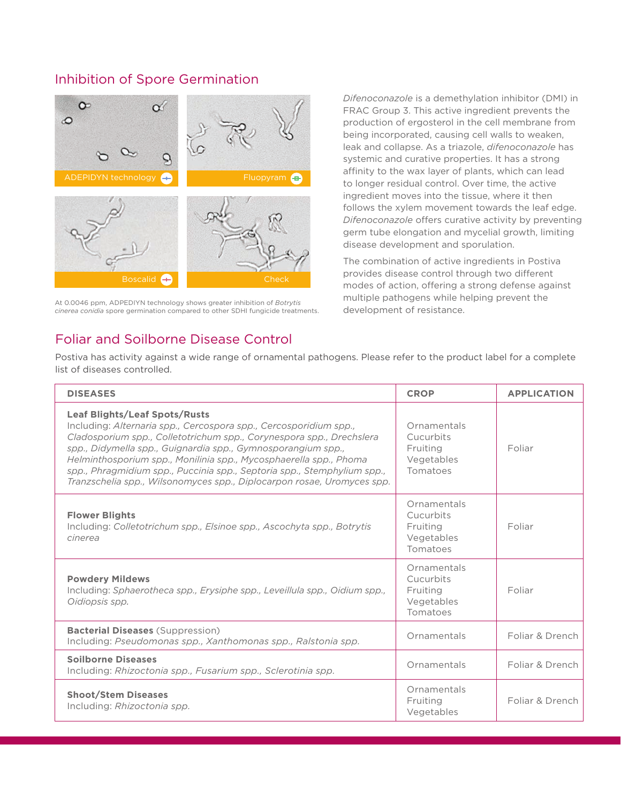## Inhibition of Spore Germination



At 0.0046 ppm, ADPEDIYN technology shows greater inhibition of *Botrytis cinerea conidia* spore germination compared to other SDHI fungicide treatments.

Foliar and Soilborne Disease Control

*Difenoconazole* is a demethylation inhibitor (DMI) in FRAC Group 3. This active ingredient prevents the production of ergosterol in the cell membrane from being incorporated, causing cell walls to weaken, leak and collapse. As a triazole, *difenoconazole* has systemic and curative properties. It has a strong affinity to the wax layer of plants, which can lead to longer residual control. Over time, the active ingredient moves into the tissue, where it then follows the xylem movement towards the leaf edge. *Difenoconazole* offers curative activity by preventing germ tube elongation and mycelial growth, limiting disease development and sporulation.

The combination of active ingredients in Postiva provides disease control through two different modes of action, offering a strong defense against multiple pathogens while helping prevent the development of resistance.

Postiva has activity against a wide range of ornamental pathogens. Please refer to the product label for a complete list of diseases controlled.

| <b>DISEASES</b>                                                                                                                                                                                                                                                                                                                                                                                                                                                             | <b>CROP</b>                                                    | <b>APPLICATION</b> |
|-----------------------------------------------------------------------------------------------------------------------------------------------------------------------------------------------------------------------------------------------------------------------------------------------------------------------------------------------------------------------------------------------------------------------------------------------------------------------------|----------------------------------------------------------------|--------------------|
| <b>Leaf Blights/Leaf Spots/Rusts</b><br>Including: Alternaria spp., Cercospora spp., Cercosporidium spp.,<br>Cladosporium spp., Colletotrichum spp., Corynespora spp., Drechslera<br>spp., Didymella spp., Guignardia spp., Gymnosporangium spp.,<br>Helminthosporium spp., Monilinia spp., Mycosphaerella spp., Phoma<br>spp., Phragmidium spp., Puccinia spp., Septoria spp., Stemphylium spp.,<br>Tranzschelia spp., Wilsonomyces spp., Diplocarpon rosae, Uromyces spp. | Ornamentals<br>Cucurbits<br>Fruiting<br>Vegetables<br>Tomatoes | Foliar             |
| <b>Flower Blights</b><br>Including: Colletotrichum spp., Elsinoe spp., Ascochyta spp., Botrytis<br>cinerea                                                                                                                                                                                                                                                                                                                                                                  | Ornamentals<br>Cucurbits<br>Fruiting<br>Vegetables<br>Tomatoes | Foliar             |
| <b>Powdery Mildews</b><br>Including: Sphaerotheca spp., Erysiphe spp., Leveillula spp., Oidium spp.,<br>Oidiopsis spp.                                                                                                                                                                                                                                                                                                                                                      | Ornamentals<br>Cucurbits<br>Fruiting<br>Vegetables<br>Tomatoes | Foliar             |
| <b>Bacterial Diseases</b> (Suppression)<br>Including: Pseudomonas spp., Xanthomonas spp., Ralstonia spp.                                                                                                                                                                                                                                                                                                                                                                    | Ornamentals                                                    | Foliar & Drench    |
| <b>Soilborne Diseases</b><br>Including: Rhizoctonia spp., Fusarium spp., Sclerotinia spp.                                                                                                                                                                                                                                                                                                                                                                                   | Ornamentals                                                    | Foliar & Drench    |
| <b>Shoot/Stem Diseases</b><br>Including: Rhizoctonia spp.                                                                                                                                                                                                                                                                                                                                                                                                                   | Ornamentals<br>Fruiting<br>Vegetables                          | Foliar & Drench    |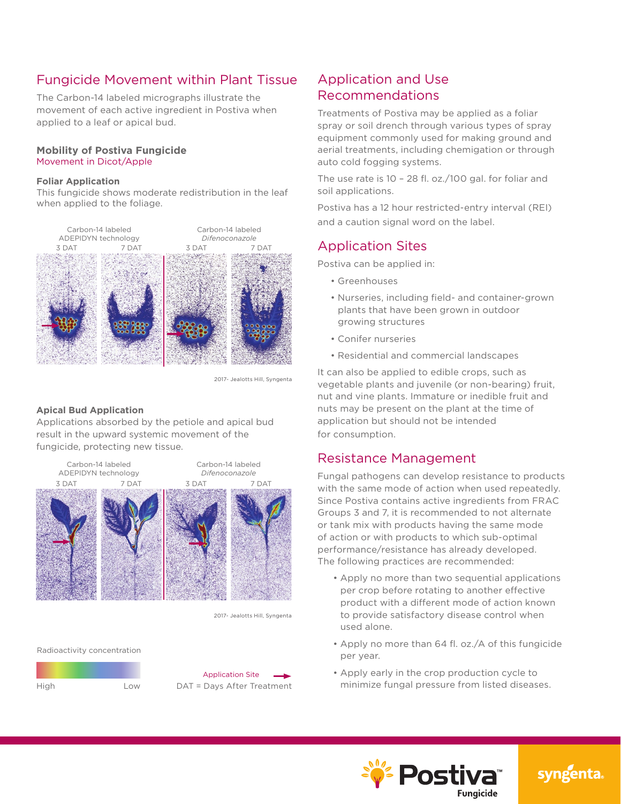# Fungicide Movement within Plant Tissue

The Carbon-14 labeled micrographs illustrate the movement of each active ingredient in Postiva when applied to a leaf or apical bud.

#### **Mobility of Postiva Fungicide** Movement in Dicot/Apple

#### **Foliar Application**

This fungicide shows moderate redistribution in the leaf when applied to the foliage.



2017- Jealotts Hill, Syngenta

#### **Apical Bud Application**

Applications absorbed by the petiole and apical bud result in the upward systemic movement of the fungicide, protecting new tissue.



2017- Jealotts Hill, Syngenta

Radioactivity concentration





## Application and Use Recommendations

Treatments of Postiva may be applied as a foliar spray or soil drench through various types of spray equipment commonly used for making ground and aerial treatments, including chemigation or through auto cold fogging systems.

The use rate is 10 – 28 fl. oz./100 gal. for foliar and soil applications.

Postiva has a 12 hour restricted-entry interval (REI) and a caution signal word on the label.

## Application Sites

Postiva can be applied in:

- Greenhouses
- Nurseries, including field- and container-grown plants that have been grown in outdoor growing structures
- Conifer nurseries
- Residential and commercial landscapes

It can also be applied to edible crops, such as vegetable plants and juvenile (or non-bearing) fruit, nut and vine plants. Immature or inedible fruit and nuts may be present on the plant at the time of application but should not be intended for consumption.

## Resistance Management

Fungal pathogens can develop resistance to products with the same mode of action when used repeatedly. Since Postiva contains active ingredients from FRAC Groups 3 and 7, it is recommended to not alternate or tank mix with products having the same mode of action or with products to which sub-optimal performance/resistance has already developed. The following practices are recommended:

- Apply no more than two sequential applications per crop before rotating to another effective product with a different mode of action known to provide satisfactory disease control when used alone.
- Apply no more than 64 fl. oz./A of this fungicide per year.
- Apply early in the crop production cycle to minimize fungal pressure from listed diseases.



syngenta